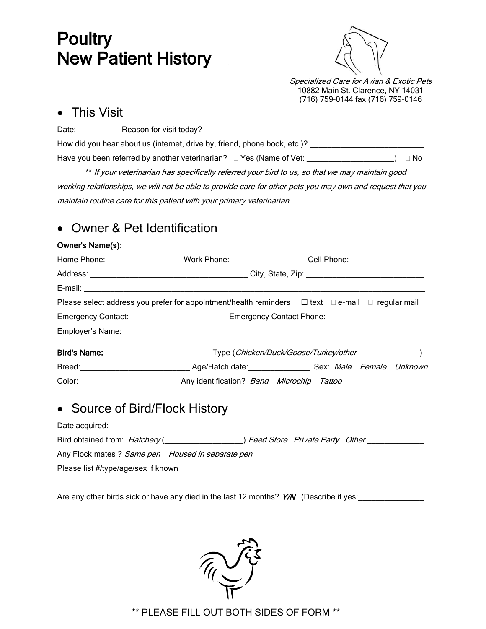# **Poultry** New Patient History



Specialized Care for Avian & Exotic Pets 10882 Main St. Clarence, NY 14031 (716) 759-0144 fax (716) 759-0146

### • This Visit

| Date: | Reason for visit today?                                                     |           |
|-------|-----------------------------------------------------------------------------|-----------|
|       | How did you hear about us (internet, drive by, friend, phone book, etc.)?   |           |
|       | Have you been referred by another veterinarian? $\square$ Yes (Name of Vet: | $\Box$ No |

\*\* If your veterinarian has specifically referred your bird to us, so that we may maintain good working relationships, we will not be able to provide care for other pets you may own and request that you maintain routine care for this patient with your primary veterinarian.

## Owner & Pet Identification

|                                                   |                                                                                                               | Home Phone: __________________________Work Phone: ______________________Cell Phone: _____________________                                                                                                                                                     |  |  |  |
|---------------------------------------------------|---------------------------------------------------------------------------------------------------------------|---------------------------------------------------------------------------------------------------------------------------------------------------------------------------------------------------------------------------------------------------------------|--|--|--|
|                                                   |                                                                                                               |                                                                                                                                                                                                                                                               |  |  |  |
|                                                   |                                                                                                               |                                                                                                                                                                                                                                                               |  |  |  |
|                                                   |                                                                                                               | Please select address you prefer for appointment/health reminders $\Box$ text $\Box$ e-mail $\Box$ regular mail                                                                                                                                               |  |  |  |
|                                                   | Emergency Contact: ______________________________ Emergency Contact Phone: __________________________________ |                                                                                                                                                                                                                                                               |  |  |  |
|                                                   |                                                                                                               |                                                                                                                                                                                                                                                               |  |  |  |
|                                                   |                                                                                                               |                                                                                                                                                                                                                                                               |  |  |  |
|                                                   |                                                                                                               | Breed: <u>Conservation and Age/Hatch date:</u> Case Sex: Male Female Unknown                                                                                                                                                                                  |  |  |  |
|                                                   |                                                                                                               |                                                                                                                                                                                                                                                               |  |  |  |
| • Source of Bird/Flock History                    |                                                                                                               |                                                                                                                                                                                                                                                               |  |  |  |
| Date acquired: _______________________            |                                                                                                               |                                                                                                                                                                                                                                                               |  |  |  |
|                                                   |                                                                                                               | Bird obtained from: Hatchery ( <b>Carry 2018</b> Cher Line of Matchery ( <b>Carry 2018</b> Cher Line of Matchery ( <b>Carry 2018</b> Cher Line of Matchery ( <b>Carry 2018</b> Cher Line of Matchery ( <b>Carry 2018</b> Cher Line of Matchery ( <b>Carry</b> |  |  |  |
| Any Flock mates ? Same pen Housed in separate pen |                                                                                                               |                                                                                                                                                                                                                                                               |  |  |  |
|                                                   |                                                                                                               |                                                                                                                                                                                                                                                               |  |  |  |
|                                                   |                                                                                                               |                                                                                                                                                                                                                                                               |  |  |  |

Are any other birds sick or have any died in the last 12 months? Y/N (Describe if yes:



\_\_\_\_\_\_\_\_\_\_\_\_\_\_\_\_\_\_\_\_\_\_\_\_\_\_\_\_\_\_\_\_\_\_\_\_\_\_\_\_\_\_\_\_\_\_\_\_\_\_\_\_\_\_\_\_\_\_\_\_\_\_\_\_\_\_\_\_\_\_\_\_\_\_\_\_\_\_\_\_\_\_\_\_